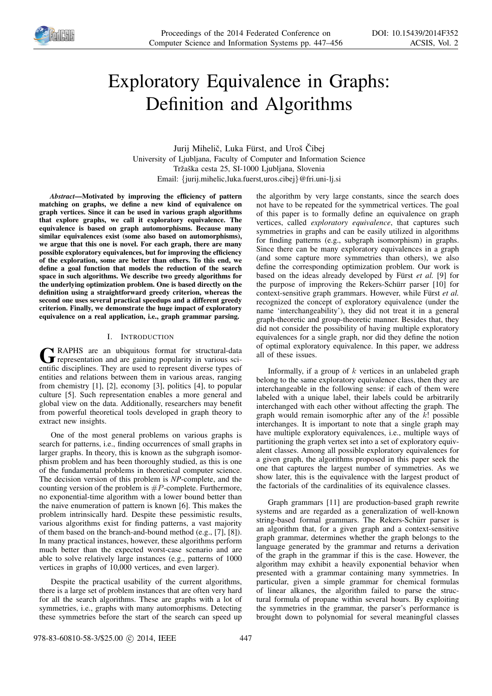

# Exploratory Equivalence in Graphs: Definition and Algorithms

Jurij Mihelič, Luka Fürst, and Uroš Čibej University of Ljubljana, Faculty of Computer and Information Science Tržaška cesta 25, SI-1000 Ljubljana, Slovenia Email: {jurij.mihelic,luka.fuerst,uros.cibej}@fri.uni-lj.si

*Abstract*—Motivated by improving the efficiency of pattern matching on graphs, we define a new kind of equivalence on graph vertices. Since it can be used in various graph algorithms that explore graphs, we call it exploratory equivalence. The equivalence is based on graph automorphisms. Because many similar equivalences exist (some also based on automorphisms), we argue that this one is novel. For each graph, there are many possible exploratory equivalences, but for improving the efficiency of the exploration, some are better than others. To this end, we define a goal function that models the reduction of the search space in such algorithms. We describe two greedy algorithms for the underlying optimization problem. One is based directly on the definition using a straightforward greedy criterion, whereas the second one uses several practical speedups and a different greedy criterion. Finally, we demonstrate the huge impact of exploratory equivalence on a real application, i.e., graph grammar parsing.

## I. INTRODUCTION

G RAPHS are an ubiquitous format for structural-data<br>representation and are gaining popularity in various sci-<br>exities disciplines. They are used to represent diverse times of RAPHS are an ubiquitous format for structural-data entific disciplines. They are used to represent diverse types of entities and relations between them in various areas, ranging from chemistry [1], [2], economy [3], politics [4], to popular culture [5]. Such representation enables a more general and global view on the data. Additionally, researchers may benefit from powerful theoretical tools developed in graph theory to extract new insights.

One of the most general problems on various graphs is search for patterns, i.e., finding occurrences of small graphs in larger graphs. In theory, this is known as the subgraph isomorphism problem and has been thoroughly studied, as this is one of the fundamental problems in theoretical computer science. The decision version of this problem is *NP*-complete, and the counting version of the problem is  $\#P$ -complete. Furthermore, no exponential-time algorithm with a lower bound better than the naive enumeration of pattern is known [6]. This makes the problem intrinsically hard. Despite these pessimistic results, various algorithms exist for finding patterns, a vast majority of them based on the branch-and-bound method (e.g., [7], [8]). In many practical instances, however, these algorithms perform much better than the expected worst-case scenario and are able to solve relatively large instances (e.g., patterns of 1000 vertices in graphs of 10,000 vertices, and even larger).

Despite the practical usability of the current algorithms, there is a large set of problem instances that are often very hard for all the search algorithms. These are graphs with a lot of symmetries, i.e., graphs with many automorphisms. Detecting these symmetries before the start of the search can speed up the algorithm by very large constants, since the search does not have to be repeated for the symmetrical vertices. The goal of this paper is to formally define an equivalence on graph vertices, called *exploratory equivalence*, that captures such symmetries in graphs and can be easily utilized in algorithms for finding patterns (e.g., subgraph isomorphism) in graphs. Since there can be many exploratory equivalences in a graph (and some capture more symmetries than others), we also define the corresponding optimization problem. Our work is based on the ideas already developed by Fürst et al. [9] for the purpose of improving the Rekers-Schürr parser [10] for context-sensitive graph grammars. However, while Fürst et al. recognized the concept of exploratory equivalence (under the name 'interchangeability'), they did not treat it in a general graph-theoretic and group-theoretic manner. Besides that, they did not consider the possibility of having multiple exploratory equivalences for a single graph, nor did they define the notion of optimal exploratory equivalence. In this paper, we address all of these issues.

Informally, if a group of  $k$  vertices in an unlabeled graph belong to the same exploratory equivalence class, then they are interchangeable in the following sense: if each of them were labeled with a unique label, their labels could be arbitrarily interchanged with each other without affecting the graph. The graph would remain isomorphic after any of the  $k!$  possible interchanges. It is important to note that a single graph may have multiple exploratory equivalences, i.e., multiple ways of partitioning the graph vertex set into a set of exploratory equivalent classes. Among all possible exploratory equivalences for a given graph, the algorithms proposed in this paper seek the one that captures the largest number of symmetries. As we show later, this is the equivalence with the largest product of the factorials of the cardinalities of its equivalence classes.

Graph grammars [11] are production-based graph rewrite systems and are regarded as a generalization of well-known string-based formal grammars. The Rekers-Schürr parser is an algorithm that, for a given graph and a context-sensitive graph grammar, determines whether the graph belongs to the language generated by the grammar and returns a derivation of the graph in the grammar if this is the case. However, the algorithm may exhibit a heavily exponential behavior when presented with a grammar containing many symmetries. In particular, given a simple grammar for chemical formulas of linear alkanes, the algorithm failed to parse the structural formula of propane within several hours. By exploiting the symmetries in the grammar, the parser's performance is brought down to polynomial for several meaningful classes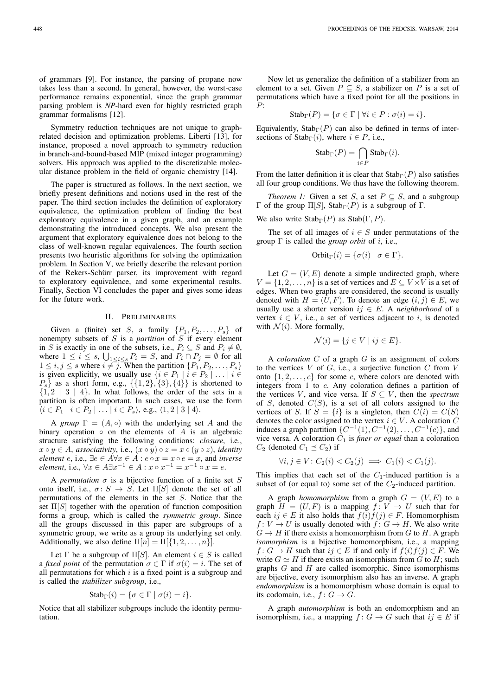of grammars [9]. For instance, the parsing of propane now takes less than a second. In general, however, the worst-case performance remains exponential, since the graph grammar parsing problem is *NP*-hard even for highly restricted graph grammar formalisms [12].

Symmetry reduction techniques are not unique to graphrelated decision and optimization problems. Liberti [13], for instance, proposed a novel approach to symmetry reduction in branch-and-bound-based MIP (mixed integer programming) solvers. His approach was applied to the discretizable molecular distance problem in the field of organic chemistry [14].

The paper is structured as follows. In the next section, we briefly present definitions and notions used in the rest of the paper. The third section includes the definition of exploratory equivalence, the optimization problem of finding the best exploratory equivalence in a given graph, and an example demonstrating the introduced concepts. We also present the argument that exploratory equivalence does not belong to the class of well-known regular equivalences. The fourth section presents two heuristic algorithms for solving the optimization problem. In Section V, we briefly describe the relevant portion of the Rekers-Schürr parser, its improvement with regard to exploratory equivalence, and some experimental results. Finally, Section VI concludes the paper and gives some ideas for the future work.

#### II. PRELIMINARIES

Given a (finite) set S, a family  $\{P_1, P_2, \ldots, P_s\}$  of nonempty subsets of S is a *partition* of S if every element in S is exactly in one of the subsets, i.e.,  $P_i \subseteq S$  and  $P_i \neq \emptyset$ , where  $1 \leq i \leq s$ ,  $\bigcup_{1 \leq i \leq s} P_i = S$ , and  $P_i \cap P_j = \emptyset$  for all  $1 \le i, j \le s$  where  $i \ne j$ . When the partition  $\{P_1, P_2, \ldots, P_s\}$ is given explicitly, we usually use  $\{i \in P_1 \mid i \in P_2 \mid \dots \mid i \in$  $P_s$  as a short form, e.g.,  $\{\{1,2\},\{3\},\{4\}\}\$ is shortened to  ${1, 2 | 3 | 4}$ . In what follows, the order of the sets in a partition is often important. In such cases, we use the form  $\langle i \in P_1 \mid i \in P_2 \mid \ldots \mid i \in P_s \rangle$ , e.g.,  $\langle 1, 2 \mid 3 \mid 4 \rangle$ .

A *group*  $\Gamma = (A, \circ)$  with the underlying set A and the binary operation  $\circ$  on the elements of A is an algebraic structure satisfying the following conditions: *closure*, i.e.,  $x \circ y \in A$ , *associativity*, i.e.,  $(x \circ y) \circ z = x \circ (y \circ z)$ , *identity element*  $e$ , i.e.,  $\exists e \in A \forall x \in A : e \circ x = x \circ e = x$ , and *inverse element*, i.e.,  $\forall x \in A \exists x^{-1} \in A : x \circ x^{-1} = x^{-1} \circ x = e$ .

A *permutation*  $\sigma$  is a bijective function of a finite set S onto itself, i.e.,  $\sigma: S \to S$ . Let  $\Pi[S]$  denote the set of all permutations of the elements in the set S. Notice that the set  $\Pi[S]$  together with the operation of function composition forms a group, which is called the *symmetric group*. Since all the groups discussed in this paper are subgroups of a symmetric group, we write as a group its underlying set only. Additionally, we also define  $\Pi[n] = \Pi[\{1, 2, \ldots, n\}].$ 

Let  $\Gamma$  be a subgroup of  $\Pi[S]$ . An element  $i \in S$  is called a *fixed point* of the permutation  $\sigma \in \Gamma$  if  $\sigma(i) = i$ . The set of all permutations for which  $i$  is a fixed point is a subgroup and is called the *stabilizer subgroup*, i.e.,

$$
Stab_{\Gamma}(i) = \{\sigma \in \Gamma \mid \sigma(i) = i\}.
$$

Notice that all stabilizer subgroups include the identity permutation.

Now let us generalize the definition of a stabilizer from an element to a set. Given  $P \subseteq S$ , a stabilizer on P is a set of permutations which have a fixed point for all the positions in P:

$$
Stab_{\Gamma}(P) = \{ \sigma \in \Gamma \mid \forall i \in P : \sigma(i) = i \}.
$$

Equivalently, Stab<sub>Γ</sub>(P) can also be defined in terms of intersections of  $Stab_{\Gamma}(i)$ , where  $i \in P$ , i.e.,

$$
Stab_{\Gamma}(P) = \bigcap_{i \in P} Stab_{\Gamma}(i).
$$

From the latter definition it is clear that  $\text{Stab}_{\Gamma}(P)$  also satisfies all four group conditions. We thus have the following theorem.

*Theorem 1:* Given a set S, a set  $P \subseteq S$ , and a subgroup Γ of the group  $\Pi[S]$ , Stab<sub>Γ</sub>(P) is a subgroup of Γ.

We also write  $\text{Stab}_{\Gamma}(P)$  as  $\text{Stab}(\Gamma, P)$ .

The set of all images of  $i \in S$  under permutations of the group  $\Gamma$  is called the *group orbit* of *i*, i.e.,

Orbit<sub>\Gamma</sub>(*i*) = {
$$
\sigma
$$
(*i*) |  $\sigma \in \Gamma$  }.

Let  $G = (V, E)$  denote a simple undirected graph, where  $V = \{1, 2, \ldots, n\}$  is a set of vertices and  $E \subseteq V \times V$  is a set of edges. When two graphs are considered, the second is usually denoted with  $H = (U, F)$ . To denote an edge  $(i, j) \in E$ , we usually use a shorter version  $ij \in E$ . A *neighborhood* of a vertex  $i \in V$ , i.e., a set of vertices adjacent to i, is denoted with  $\mathcal{N}(i)$ . More formally,

$$
\mathcal{N}(i) = \{ j \in V \mid ij \in E \}.
$$

A *coloration* C of a graph G is an assignment of colors to the vertices  $V$  of  $G$ , i.e., a surjective function  $C$  from  $V$ onto  $\{1, 2, \ldots, c\}$  for some c, where colors are denoted with integers from 1 to c. Any coloration defines a partition of the vertices V, and vice versa. If  $S \subseteq V$ , then the *spectrum* of S, denoted  $C(S)$ , is a set of all colors assigned to the vertices of S. If  $S = \{i\}$  is a singleton, then  $C(i) = C(S)$ denotes the color assigned to the vertex  $i \in V$ . A coloration C induces a graph partition  $\{C^{-1}(1), C^{-1}(2), \ldots, C^{-1}(c)\}\$ , and vice versa. A coloration  $C_1$  is *finer or equal* than a coloration  $C_2$  (denoted  $C_1 \preceq C_2$ ) if

$$
\forall i, j \in V: C_2(i) < C_2(j) \implies C_1(i) < C_1(j).
$$

This implies that each set of the  $C_1$ -induced partition is a subset of (or equal to) some set of the  $C_2$ -induced partition.

A graph *homomorphism* from a graph  $G = (V, E)$  to a graph  $H = (U, F)$  is a mapping  $f: V \to U$  such that for each  $ij \in E$  it also holds that  $f(i)f(j) \in F$ . Homomorphism  $f: V \to U$  is usually denoted with  $f: G \to H$ . We also write  $G \to H$  if there exists a homomorphism from G to H. A graph *isomorphism* is a bijective homomorphism, i.e., a mapping  $f: G \to H$  such that  $ij \in E$  if and only if  $f(i)f(j) \in F$ . We write  $G \simeq H$  if there exists an isomorphism from G to H; such graphs  $G$  and  $H$  are called isomorphic. Since isomorphisms are bijective, every isomorphism also has an inverse. A graph *endomorphism* is a homomorphism whose domain is equal to its codomain, i.e.,  $f: G \to G$ .

A graph *automorphism* is both an endomorphism and an isomorphism, i.e., a mapping  $f: G \to G$  such that  $ij \in E$  if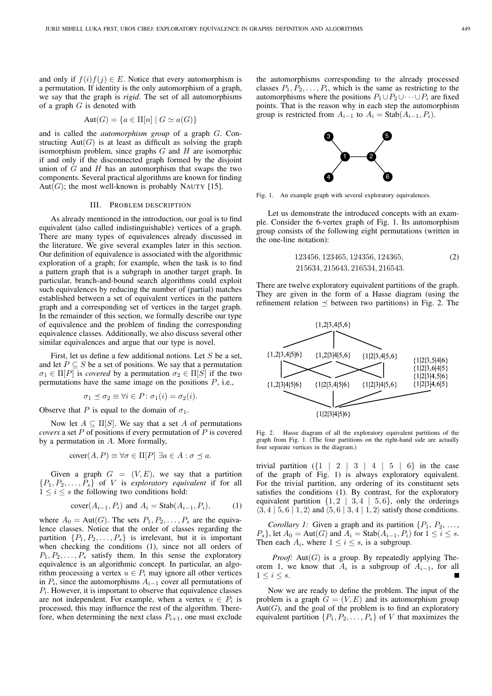and only if  $f(i)f(j) \in E$ . Notice that every automorphism is a permutation. If identity is the only automorphism of a graph, we say that the graph is *rigid*. The set of all automorphisms of a graph  $G$  is denoted with

$$
Aut(G) = \{a \in \Pi[n] \mid G \simeq a(G)\}
$$

and is called the *automorphism group* of a graph G. Constructing  $Aut(G)$  is at least as difficult as solving the graph isomorphism problem, since graphs  $G$  and  $H$  are isomorphic if and only if the disconnected graph formed by the disjoint union of  $G$  and  $H$  has an automorphism that swaps the two components. Several practical algorithms are known for finding Aut(G); the most well-known is probably NAUTY [15].

## III. PROBLEM DESCRIPTION

As already mentioned in the introduction, our goal is to find equivalent (also called indistinguishable) vertices of a graph. There are many types of equivalences already discussed in the literature. We give several examples later in this section. Our definition of equivalence is associated with the algorithmic exploration of a graph; for example, when the task is to find a pattern graph that is a subgraph in another target graph. In particular, branch-and-bound search algorithms could exploit such equivalences by reducing the number of (partial) matches established between a set of equivalent vertices in the pattern graph and a corresponding set of vertices in the target graph. In the remainder of this section, we formally describe our type of equivalence and the problem of finding the corresponding equivalence classes. Additionally, we also discuss several other similar equivalences and argue that our type is novel.

First, let us define a few additional notions. Let  $S$  be a set, and let  $P \subseteq S$  be a set of positions. We say that a permutation  $\sigma_1 \in \Pi[P]$  is *covered* by a permutation  $\sigma_2 \in \Pi[S]$  if the two permutations have the same image on the positions P, i.e.,

$$
\sigma_1 \preceq \sigma_2 \equiv \forall i \in P \colon \sigma_1(i) = \sigma_2(i).
$$

Observe that P is equal to the domain of  $\sigma_1$ .

Now let  $A \subseteq \Pi[S]$ . We say that a set A of permutations *covers* a set P of positions if every permutation of P is covered by a permutation in A. More formally,

$$
cover(A, P) \equiv \forall \sigma \in \Pi[P] \exists a \in A : \sigma \preceq a.
$$

Given a graph  $G = (V, E)$ , we say that a partition  $\{P_1, P_2, \ldots, P_s\}$  of V is *exploratory equivalent* if for all  $1 \leq i \leq s$  the following two conditions hold:

$$
cover(A_{i-1}, P_i) \text{ and } A_i = Stab(A_{i-1}, P_i), \tag{1}
$$

where  $A_0 = \text{Aut}(G)$ . The sets  $P_1, P_2, \ldots, P_s$  are the equivalence classes. Notice that the order of classes regarding the partition  $\{P_1, P_2, \ldots, P_s\}$  is irrelevant, but it is important when checking the conditions (1), since not all orders of  $P_1, P_2, \ldots, P_s$  satisfy them. In this sense the exploratory equivalence is an algorithmic concept. In particular, an algorithm processing a vertex  $u \in P_i$  may ignore all other vertices in  $P_i$ , since the automorphisms  $A_{i-1}$  cover all permutations of  $P_i$ . However, it is important to observe that equivalence classes are not independent. For example, when a vertex  $u \in P_i$  is processed, this may influence the rest of the algorithm. Therefore, when determining the next class  $P_{i+1}$ , one must exclude

the automorphisms corresponding to the already processed classes  $P_1, P_2, \ldots, P_i$ , which is the same as restricting to the automorphisms where the positions  $P_1 \cup P_2 \cup \cdots \cup P_i$  are fixed points. That is the reason why in each step the automorphism group is restricted from  $A_{i-1}$  to  $A_i = \text{Stab}(A_{i-1}, P_i)$ .



Fig. 1. An example graph with several exploratory equivalences.

Let us demonstrate the introduced concepts with an example. Consider the 6-vertex graph of Fig. 1. Its automorphism group consists of the following eight permutations (written in the one-line notation):

$$
123456, 123465, 124356, 124365, \n215634, 215643, 216534, 216543.
$$
\n
$$
(2)
$$

There are twelve exploratory equivalent partitions of the graph. They are given in the form of a Hasse diagram (using the refinement relation  $\preceq$  between two partitions) in Fig. 2. The



Fig. 2. Hasse diagram of all the exploratory equivalent partitions of the graph from Fig. 1. (The four partitions on the right-hand side are actually four separate vertices in the diagram.)

trivial partition  $({1 \mid 2 \mid 3 \mid 4 \mid 5 \mid 6}$  in the case of the graph of Fig. 1) is always exploratory equivalent. For the trivial partition, any ordering of its constituent sets satisfies the conditions (1). By contrast, for the exploratory equivalent partition  $\{1, 2 \mid 3, 4 \mid 5, 6\}$ , only the orderings  $\langle 3, 4 | 5, 6 | 1, 2 \rangle$  and  $\langle 5, 6 | 3, 4 | 1, 2 \rangle$  satisfy those conditions.

*Corollary 1:* Given a graph and its partition  $\{P_1, P_2, \ldots, P_n\}$  $P_s$ , let  $A_0 = \text{Aut}(G)$  and  $A_i = \text{Stab}(A_{i-1}, P_i)$  for  $1 \le i \le s$ . Then each  $A_i$ , where  $1 \leq i \leq s$ , is a subgroup.

*Proof:* Aut( $G$ ) is a group. By repeatedly applying Theorem 1, we know that  $A_i$  is a subgroup of  $A_{i-1}$ , for all  $1 \leq i \leq s$ .

Now we are ready to define the problem. The input of the problem is a graph  $G = (V, E)$  and its automorphism group  $Aut(G)$ , and the goal of the problem is to find an exploratory equivalent partition  $\{P_1, P_2, \ldots, P_s\}$  of V that maximizes the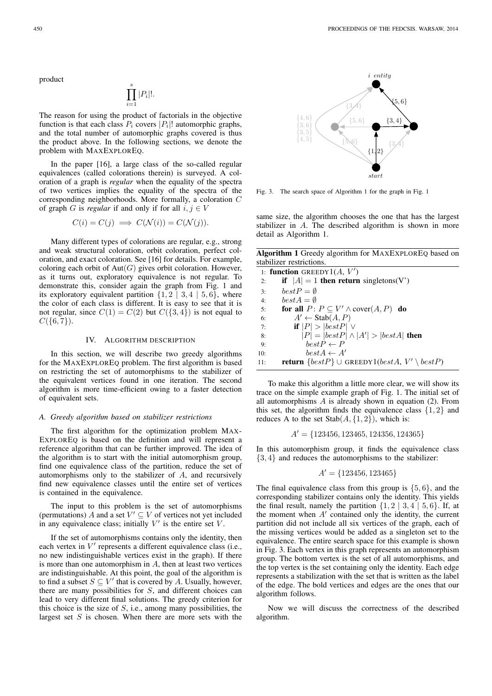product

$$
\prod_{i=1}^s |P_i|!.
$$

The reason for using the product of factorials in the objective function is that each class  $P_i$  covers  $|P_i|!$  automorphic graphs, and the total number of automorphic graphs covered is thus the product above. In the following sections, we denote the problem with MAXEXPLOREQ.

In the paper [16], a large class of the so-called regular equivalences (called colorations therein) is surveyed. A coloration of a graph is *regular* when the equality of the spectra of two vertices implies the equality of the spectra of the corresponding neighborhoods. More formally, a coloration C of graph G is *regular* if and only if for all  $i, j \in V$ 

$$
C(i) = C(j) \implies C(\mathcal{N}(i)) = C(\mathcal{N}(j)).
$$

Many different types of colorations are regular, e.g., strong and weak structural coloration, orbit coloration, perfect coloration, and exact coloration. See [16] for details. For example, coloring each orbit of  $Aut(G)$  gives orbit coloration. However, as it turns out, exploratory equivalence is not regular. To demonstrate this, consider again the graph from Fig. 1 and its exploratory equivalent partition  $\{1, 2 \mid 3, 4 \mid 5, 6\}$ , where the color of each class is different. It is easy to see that it is not regular, since  $C(1) = C(2)$  but  $C({3, 4})$  is not equal to  $C({6, 7})$ .

## IV. ALGORITHM DESCRIPTION

In this section, we will describe two greedy algorithms for the MAXEXPLOREQ problem. The first algorithm is based on restricting the set of automorphisms to the stabilizer of the equivalent vertices found in one iteration. The second algorithm is more time-efficient owing to a faster detection of equivalent sets.

## *A. Greedy algorithm based on stabilizer restrictions*

The first algorithm for the optimization problem MAX-EXPLOREQ is based on the definition and will represent a reference algorithm that can be further improved. The idea of the algorithm is to start with the initial automorphism group, find one equivalence class of the partition, reduce the set of automorphisms only to the stabilizer of A, and recursively find new equivalence classes until the entire set of vertices is contained in the equivalence.

The input to this problem is the set of automorphisms (permutations) A and a set  $V' \subseteq V$  of vertices not yet included in any equivalence class; initially  $V'$  is the entire set  $V$ .

If the set of automorphisms contains only the identity, then each vertex in  $V'$  represents a different equivalence class (i.e., no new indistinguishable vertices exist in the graph). If there is more than one automorphism in  $A$ , then at least two vertices are indistinguishable. At this point, the goal of the algorithm is to find a subset  $S \subseteq V'$  that is covered by A. Usually, however, there are many possibilities for S, and different choices can lead to very different final solutions. The greedy criterion for this choice is the size of  $S$ , i.e., among many possibilities, the largest set  $S$  is chosen. When there are more sets with the



Fig. 3. The search space of Algorithm 1 for the graph in Fig. 1

same size, the algorithm chooses the one that has the largest stabilizer in A. The described algorithm is shown in more detail as Algorithm 1.

Algorithm 1 Greedy algorithm for MAXEXPLOREQ based on stabilizer restrictions.

|     | 1: function GREEDY $1(A, V')$                                             |  |  |  |  |  |
|-----|---------------------------------------------------------------------------|--|--|--|--|--|
| 2:  | if $ A  = 1$ then return singletons(V')                                   |  |  |  |  |  |
| 3:  | $bestP = \emptyset$                                                       |  |  |  |  |  |
| 4:  | $bestA = \emptyset$                                                       |  |  |  |  |  |
| 5:  | for all $P: P \subseteq V' \wedge \text{cover}(A, P)$ do                  |  |  |  |  |  |
| 6:  | $A' \leftarrow \text{Stab}(A, P)$                                         |  |  |  |  |  |
| 7:  | if $ P  >  bestP $ $\vee$                                                 |  |  |  |  |  |
| 8:  | $ P  =  bestP  \wedge  A'  >  bestA $ then                                |  |  |  |  |  |
| 9:  | $bestP \leftarrow P$                                                      |  |  |  |  |  |
| 10: | $bestA \leftarrow A'$                                                     |  |  |  |  |  |
| 11: | <b>return</b> $\{bestP\} \cup$ GREEDY1( <i>bestA, V'</i> \ <i>bestP</i> ) |  |  |  |  |  |

To make this algorithm a little more clear, we will show its trace on the simple example graph of Fig. 1. The initial set of all automorphisms  $A$  is already shown in equation (2). From this set, the algorithm finds the equivalence class  $\{1, 2\}$  and reduces A to the set  $Stab(A, \{1, 2\})$ , which is:

$$
A' = \{123456, 123465, 124356, 124365\}
$$

In this automorphism group, it finds the equivalence class  ${3, 4}$  and reduces the automorphisms to the stabilizer:

$$
A' = \{123456, 123465\}
$$

The final equivalence class from this group is  $\{5, 6\}$ , and the corresponding stabilizer contains only the identity. This yields the final result, namely the partition  $\{1, 2 \mid 3, 4 \mid 5, 6\}$ . If, at the moment when A′ contained only the identity, the current partition did not include all six vertices of the graph, each of the missing vertices would be added as a singleton set to the equivalence. The entire search space for this example is shown in Fig. 3. Each vertex in this graph represents an automorphism group. The bottom vertex is the set of all automorphisms, and the top vertex is the set containing only the identity. Each edge represents a stabilization with the set that is written as the label of the edge. The bold vertices and edges are the ones that our algorithm follows.

Now we will discuss the correctness of the described algorithm.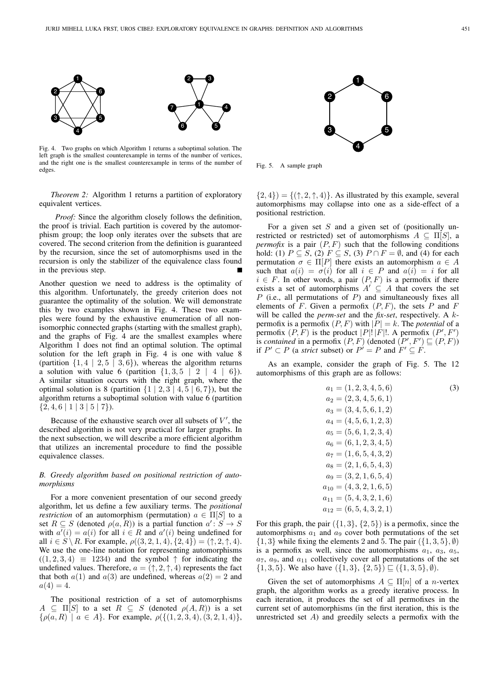

Fig. 4. Two graphs on which Algorithm 1 returns a suboptimal solution. The left graph is the smallest counterexample in terms of the number of vertices, and the right one is the smallest counterexample in terms of the number of edges.

*Theorem 2:* Algorithm 1 returns a partition of exploratory equivalent vertices.

*Proof:* Since the algorithm closely follows the definition, the proof is trivial. Each partition is covered by the automorphism group; the loop only iterates over the subsets that are covered. The second criterion from the definition is guaranteed by the recursion, since the set of automorphisms used in the recursion is only the stabilizer of the equivalence class found in the previous step.

Another question we need to address is the optimality of this algorithm. Unfortunately, the greedy criterion does not guarantee the optimality of the solution. We will demonstrate this by two examples shown in Fig. 4. These two examples were found by the exhaustive enumeration of all nonisomorphic connected graphs (starting with the smallest graph), and the graphs of Fig. 4 are the smallest examples where Algorithm 1 does not find an optimal solution. The optimal solution for the left graph in Fig. 4 is one with value 8 (partition  $\{1, 4 \mid 2, 5 \mid 3, 6\}$ ), whereas the algorithm returns a solution with value 6 (partition  $\{1, 3, 5 \mid 2 \mid 4 \mid 6\}$ ). A similar situation occurs with the right graph, where the optimal solution is 8 (partition  $\{1 \mid 2, 3 \mid 4, 5 \mid 6, 7\}$ ), but the algorithm returns a suboptimal solution with value 6 (partition  $\{2,4,6 \mid 1 \mid 3 \mid 5 \mid 7\}.$ 

Because of the exhaustive search over all subsets of  $V'$ , the described algorithm is not very practical for larger graphs. In the next subsection, we will describe a more efficient algorithm that utilizes an incremental procedure to find the possible equivalence classes.

## *B. Greedy algorithm based on positional restriction of automorphisms*

For a more convenient presentation of our second greedy algorithm, let us define a few auxiliary terms. The *positional restriction* of an automorphism (permutation)  $a \in \Pi[S]$  to a set  $R \subseteq S$  (denoted  $\rho(a, R)$ ) is a partial function  $a': S \to S$ with  $a'(i) = a(i)$  for all  $i \in R$  and  $a'(i)$  being undefined for all  $i \in S \setminus R$ . For example,  $\rho((3, 2, 1, 4), \{2, 4\}) = (\uparrow, 2, \uparrow, 4)$ . We use the one-line notation for representing automorphisms  $((1, 2, 3, 4) \equiv 1234)$  and the symbol  $\uparrow$  for indicating the undefined values. Therefore,  $a = (\uparrow, 2, \uparrow, 4)$  represents the fact that both  $a(1)$  and  $a(3)$  are undefined, whereas  $a(2) = 2$  and  $a(4) = 4.$ 

The positional restriction of a set of automorphisms  $A \subseteq \Pi[S]$  to a set  $R \subseteq S$  (denoted  $\rho(A, R)$ ) is a set  $\{\rho(a,R) \mid a \in A\}$ . For example,  $\rho(\{(1,2,3,4), (3,2,1,4)\},\)$ 



Fig. 5. A sample graph

 $\{2, 4\}$ ) =  $\{(\uparrow, 2, \uparrow, 4)\}$ . As illustrated by this example, several automorphisms may collapse into one as a side-effect of a positional restriction.

For a given set  $S$  and a given set of (positionally unrestricted or restricted) set of automorphisms  $A \subseteq \Pi[S]$ , a *permofix* is a pair  $(P, F)$  such that the following conditions hold: (1)  $P \subseteq S$ , (2)  $F \subseteq S$ , (3)  $P \cap F = \emptyset$ , and (4) for each permutation  $\sigma \in \Pi[P]$  there exists an automorphism  $a \in A$ such that  $a(i) = \sigma(i)$  for all  $i \in P$  and  $a(i) = i$  for all  $i \in F$ . In other words, a pair  $(P, F)$  is a permofix if there exists a set of automorphisms  $A' \subseteq A$  that covers the set  $P$  (i.e., all permutations of  $P$ ) and simultaneously fixes all elements of F. Given a permofix  $(P, F)$ , the sets P and F will be called the *perm-set* and the *fix-set*, respectively. A kpermofix is a permofix  $(P, F)$  with  $|P| = k$ . The *potential* of a permofix  $(P, \overline{F})$  is the product  $|P|! |F|!$ . A permofix  $(P', F')$ is *contained* in a permofix  $(P, F)$  (denoted  $(P', F') \sqsubseteq (P, F)$ ) if  $P' \subset P$  (a *strict* subset) or  $P' = P$  and  $F' \subseteq F$ .

As an example, consider the graph of Fig. 5. The 12 automorphisms of this graph are as follows:

$$
a_1 = (1, 2, 3, 4, 5, 6)
$$
\n
$$
a_2 = (2, 3, 4, 5, 6, 1)
$$
\n
$$
a_3 = (3, 4, 5, 6, 1, 2)
$$
\n
$$
a_4 = (4, 5, 6, 1, 2, 3)
$$
\n
$$
a_5 = (5, 6, 1, 2, 3, 4)
$$
\n
$$
a_6 = (6, 1, 2, 3, 4, 5)
$$
\n
$$
a_7 = (1, 6, 5, 4, 3, 2)
$$
\n
$$
a_8 = (2, 1, 6, 5, 4, 3)
$$
\n
$$
a_9 = (3, 2, 1, 6, 5, 4)
$$
\n
$$
a_{10} = (4, 3, 2, 1, 6, 5)
$$
\n
$$
a_{11} = (5, 4, 3, 2, 1, 6)
$$
\n
$$
a_{12} = (6, 5, 4, 3, 2, 1)
$$

For this graph, the pair  $({1, 3}, {2, 5})$  is a permofix, since the automorphisms  $a_1$  and  $a_9$  cover both permutations of the set  $\{1,3\}$  while fixing the elements 2 and 5. The pair  $(\{1,3,5\}, \emptyset)$ is a permofix as well, since the automorphisms  $a_1$ ,  $a_3$ ,  $a_5$ ,  $a_7$ ,  $a_9$ , and  $a_{11}$  collectively cover all permutations of the set  $\{1,3,5\}$ . We also have  $(\{1,3\},\{2,5\}) \sqsubseteq (\{1,3,5\},\emptyset)$ .

Given the set of automorphisms  $A \subseteq \Pi[n]$  of a *n*-vertex graph, the algorithm works as a greedy iterative process. In each iteration, it produces the set of all permofixes in the current set of automorphisms (in the first iteration, this is the unrestricted set  $A$ ) and greedily selects a permofix with the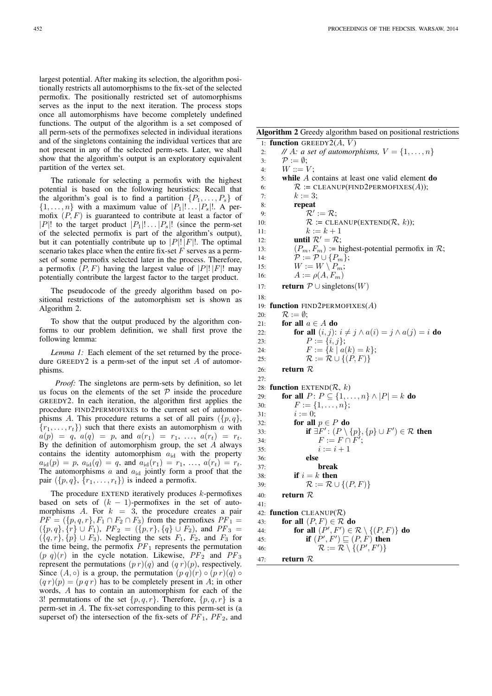largest potential. After making its selection, the algorithm positionally restricts all automorphisms to the fix-set of the selected permofix. The positionally restricted set of automorphisms serves as the input to the next iteration. The process stops once all automorphisms have become completely undefined functions. The output of the algorithm is a set composed of all perm-sets of the permofixes selected in individual iterations and of the singletons containing the individual vertices that are not present in any of the selected perm-sets. Later, we shall show that the algorithm's output is an exploratory equivalent partition of the vertex set.

The rationale for selecting a permofix with the highest potential is based on the following heuristics: Recall that the algorithm's goal is to find a partition  $\{P_1, \ldots, P_s\}$  of  $\{1, \ldots, n\}$  with a maximum value of  $|P_1|! \ldots |P_s|!$ . A permofix  $(P, F)$  is guaranteed to contribute at least a factor of |P|! to the target product  $|P_1|! \dots |P_s|!$  (since the perm-set of the selected permofix is part of the algorithm's output), but it can potentially contribute up to  $|P|! |F|!$ . The optimal scenario takes place when the entire fix-set  $F$  serves as a permset of some permofix selected later in the process. Therefore, a permofix  $(P, F)$  having the largest value of  $|P|! |F|!$  may potentially contribute the largest factor to the target product.

The pseudocode of the greedy algorithm based on positional restrictions of the automorphism set is shown as Algorithm 2.

To show that the output produced by the algorithm conforms to our problem definition, we shall first prove the following lemma:

*Lemma 1:* Each element of the set returned by the procedure GREEDY2 is a perm-set of the input set  $A$  of automorphisms.

*Proof:* The singletons are perm-sets by definition, so let us focus on the elements of the set  $P$  inside the procedure GREEDY2. In each iteration, the algorithm first applies the procedure FIND2PERMOFIXES to the current set of automorphisms A. This procedure returns a set of all pairs  $({p, q}, )$  ${r_1, \ldots, r_t}$  such that there exists an automorphism a with  $a(p) = q, a(q) = p, \text{ and } a(r_1) = r_1, \ldots, a(r_t) = r_t.$ By the definition of automorphism group, the set  $A$  always contains the identity automorphism  $a_{id}$  with the property  $a_{\text{id}}(p) = p$ ,  $a_{\text{id}}(q) = q$ , and  $a_{\text{id}}(r_1) = r_1, \ldots, a(r_t) = r_t$ . The automorphisms  $a$  and  $a_{id}$  jointly form a proof that the pair  $({p, q}, {r_1, \ldots, r_t})$  is indeed a permofix.

The procedure EXTEND iteratively produces  $k$ -permofixes based on sets of  $(k - 1)$ -permofixes in the set of automorphisms  $A$ . For  $k = 3$ , the procedure creates a pair  $PF = (\{p,q,r\}, F_1 \cap F_2 \cap F_3)$  from the permofixes  $PF_1 =$  $({p, q}, {\hat{r}} \cup {\hat{F}_1}), PF_2 = ({p, r}, {q} \cup {F_2}),$  and  $PF_3 =$  $({q, r}, {p} \cup F_3)$ . Neglecting the sets  $F_1, F_2$ , and  $F_3$  for the time being, the permofix  $PF_1$  represents the permutation  $(p q)(r)$  in the cycle notation. Likewise,  $PF_2$  and  $PF_3$ represent the permutations  $(p r)(q)$  and  $(q r)(p)$ , respectively. Since  $(A, \circ)$  is a group, the permutation  $(p, q)(r) \circ (p, r)(q) \circ$  $(q r)(p) = (p q r)$  has to be completely present in A; in other words, A has to contain an automorphism for each of the 3! permutations of the set  $\{p,q,r\}$ . Therefore,  $\{p,q,r\}$  is a perm-set in A. The fix-set corresponding to this perm-set is (a superset of) the intersection of the fix-sets of  $PF_1$ ,  $PF_2$ , and

## Algorithm 2 Greedy algorithm based on positional restrictions

```
1: function GREEDY2(A, V)2: // A: a set of automorphisms, V = \{1, \ldots, n\}3: \mathcal{P} := \emptyset:
 4: W ::= V:
 5: while A contains at least one valid element do
 6: \mathcal{R} := CLEANUP(FIND2PERMOFIXES(A));
 7: k := 3;8: repeat
 9: \mathcal{R}' := \mathcal{R};10: \mathcal{R} := CLEANUP(EXTEND(\mathcal{R}, k));
11: k := k + 112: until \mathcal{R}' = \mathcal{R};
13: (P_m, F_m) := \text{highest-potential permofix in } \mathcal{R};14: \mathcal{P} := \mathcal{P} \cup \{P_m\};<br>15: W := W \setminus P_m:
15: W := W \setminus P_m;<br>
16: A := \rho(A, F_m)A := \rho(A, F_m)17: return \mathcal{P} \cup singletons(W)
18:
19: function FIND2PERMOFIXES(A)
20: \mathcal{R} := \emptyset;
21: for all a \in A do
22: for all (i, j): i \neq j \land a(i) = j \land a(j) = i do
23: P := \{i, j\};24: F := \{k \mid a(k) = k\};25: \mathcal{R} := \mathcal{R} \cup \{(P, F)\}\26: return R27.28: function EXTEND(R, k)29: for all P: P \subseteq \{1, \ldots, n\} \wedge |P| = k do
30: F := \{1, \ldots, n\};31: i := 0;32: for all p \in P do
33: if \exists F' : (P \setminus \{p\}, \{p\} \cup F') \in \mathcal{R} then
34: F := F \cap F';
35: i := i + 136: else
37: break
38: if i = k then
39: \mathcal{R} := \mathcal{R} \cup \{(P, F)\}\40: return R41:
42: function CLEANUP(R)43: for all (P, F) \in \mathcal{R} do
44: for all (P', F') \in \mathcal{R} \setminus \{(P, F)\}\ do
45: if (P', F') \sqsubseteq (P, F) then
46: \mathcal{R} := \mathcal{R} \setminus \{(P', F')\}47: return R
```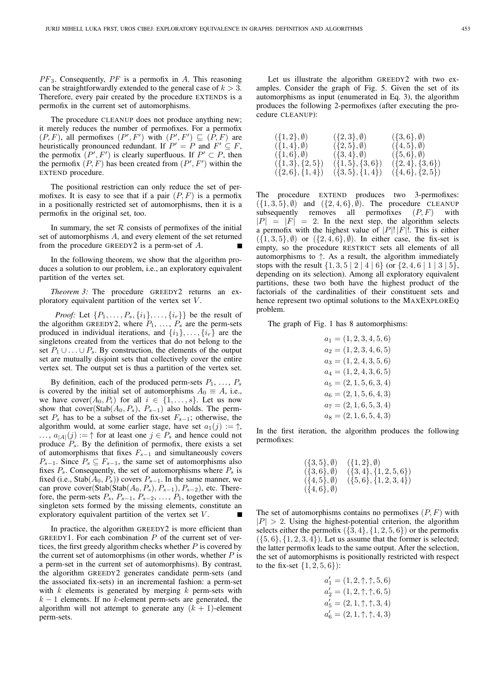$PF_3$ . Consequently,  $PF$  is a permofix in A. This reasoning can be straightforwardly extended to the general case of  $k > 3$ . Therefore, every pair created by the procedure EXTENDS is a permofix in the current set of automorphisms.

The procedure CLEANUP does not produce anything new; it merely reduces the number of permofixes. For a permofix  $(P, F)$ , all permofixes  $(P', F')$  with  $(P', F') \sqsubseteq (\overline{P}, F)$  are heuristically pronounced redundant. If  $P' = P$  and  $F' \subseteq F$ , the permofix  $(P', F')$  is clearly superfluous. If  $P' \subset P$ , then the permofix  $(P, F)$  has been created from  $(P', F')$  within the EXTEND procedure.

The positional restriction can only reduce the set of permofixes. It is easy to see that if a pair  $(P, F)$  is a permofix in a positionally restricted set of automorphisms, then it is a permofix in the original set, too.

In summary, the set  $R$  consists of permofixes of the initial set of automorphisms A, and every element of the set returned from the procedure GREEDY2 is a perm-set of A.

In the following theorem, we show that the algorithm produces a solution to our problem, i.e., an exploratory equivalent partition of the vertex set.

*Theorem 3:* The procedure GREEDY2 returns an exploratory equivalent partition of the vertex set  $V$ .

*Proof:* Let  $\{P_1, \ldots, P_s, \{i_1\}, \ldots, \{i_r\}\}\)$  be the result of the algorithm GREEDY2, where  $P_1, \ldots, P_s$  are the perm-sets produced in individual iterations, and  $\{i_1\}, \ldots, \{i_r\}$  are the singletons created from the vertices that do not belong to the set  $P_1 \cup \ldots \cup P_s$ . By construction, the elements of the output set are mutually disjoint sets that collectively cover the entire vertex set. The output set is thus a partition of the vertex set.

By definition, each of the produced perm-sets  $P_1, \ldots, P_s$ is covered by the initial set of automorphisms  $A_0 \equiv A$ , i.e., we have  $cover(A_0, P_i)$  for all  $i \in \{1, ..., s\}$ . Let us now show that cover(Stab( $A_0, P_s$ ),  $P_{s-1}$ ) also holds. The permset  $P_s$  has to be a subset of the fix-set  $F_{s-1}$ ; otherwise, the algorithm would, at some earlier stage, have set  $a_1(j) := \uparrow$ ,  $\ldots$ ,  $a_{|A|}(j) := \uparrow$  for at least one  $j \in P_s$  and hence could not produce  $P_s$ . By the definition of permofix, there exists a set of automorphisms that fixes  $F_{s-1}$  and simultaneously covers  $P_{s-1}$ . Since  $P_s \subseteq F_{s-1}$ , the same set of automorphisms also fixes  $P_s$ . Consequently, the set of automorphisms where  $P_s$  is fixed (i.e., Stab( $A_0, P_s$ )) covers  $P_{s-1}$ . In the same manner, we can prove cover(Stab(Stab( $A_0, P_s$ ),  $P_{s-1}$ ),  $P_{s-2}$ ), etc. Therefore, the perm-sets  $P_s$ ,  $P_{s-1}$ ,  $P_{s-2}$ , ...,  $P_1$ , together with the singleton sets formed by the missing elements, constitute an exploratory equivalent partition of the vertex set V.

In practice, the algorithm GREEDY2 is more efficient than GREEDY1. For each combination  $P$  of the current set of vertices, the first greedy algorithm checks whether  $P$  is covered by the current set of automorphisms (in other words, whether  $P$  is a perm-set in the current set of automorphisms). By contrast, the algorithm GREEDY2 generates candidate perm-sets (and the associated fix-sets) in an incremental fashion: a perm-set with  $k$  elements is generated by merging  $k$  perm-sets with  $k - 1$  elements. If no k-element perm-sets are generated, the algorithm will not attempt to generate any  $(k + 1)$ -element perm-sets.

Let us illustrate the algorithm GREEDY2 with two examples. Consider the graph of Fig. 5. Given the set of its automorphisms as input (enumerated in Eq. 3), the algorithm produces the following 2-permofixes (after executing the procedure CLEANUP):

| $({1,2}, \emptyset)$     | $({2,3},\emptyset)$  | $({5,6}, \emptyset)$  |
|--------------------------|----------------------|-----------------------|
| $({1,4}, \emptyset)$     | $({2,5},\emptyset)$  | $({4, 5}, \emptyset)$ |
| $( \{1,6\}, \emptyset )$ | $({3,4}, \emptyset)$ | $({5,6},\emptyset)$   |
| $({1,3}, {2,5})$         | $({1, 5}, {3, 6})$   | $({2,4}, {3,6})$      |
| $({2,6}, {1,4})$         | $({3, 5}, {1, 4})$   | $({4, 6}, {2, 5})$    |
|                          |                      |                       |

The procedure EXTEND produces two 3-permofixes:  $({1, 3, 5}, \emptyset)$  and  $({2, 4, 6}, \emptyset)$ . The procedure CLEANUP subsequently removes all permofixes  $(P, F)$  with  $|P| = |F| = 2$ . In the next step, the algorithm selects a permofix with the highest value of  $|P|! |F|!$ . This is either  $({1, 3, 5}, \emptyset)$  or  $({2, 4, 6}, \emptyset)$ . In either case, the fix-set is empty, so the procedure RESTRICT sets all elements of all automorphisms to  $\uparrow$ . As a result, the algorithm immediately stops with the result  $\{1, 3, 5 \mid 2 \mid 4 \mid 6\}$  (or  $\{2, 4, 6 \mid 1 \mid 3 \mid 5\}$ , depending on its selection). Among all exploratory equivalent partitions, these two both have the highest product of the factorials of the cardinalities of their constituent sets and hence represent two optimal solutions to the MAXEXPLOREQ problem.

The graph of Fig. 1 has 8 automorphisms:

 $a_1 = (1, 2, 3, 4, 5, 6)$  $a_2 = (1, 2, 3, 4, 6, 5)$  $a_3 = (1, 2, 4, 3, 5, 6)$  $a_4 = (1, 2, 4, 3, 6, 5)$  $a_5 = (2, 1, 5, 6, 3, 4)$  $a_6 = (2, 1, 5, 6, 4, 3)$  $a_7 = (2, 1, 6, 5, 3, 4)$  $a_8 = (2, 1, 6, 5, 4, 3)$ 

In the first iteration, the algorithm produces the following permofixes:

| $({3,5},\emptyset)$ | $({1, 2}, \emptyset)$ |
|---------------------|-----------------------|
| $({3,6},\emptyset)$ | $({3,4}, {1,2,5,6})$  |
| $({4,5},\emptyset)$ | $({5,6}, {1,2,3,4})$  |
| $({4,6},\emptyset)$ |                       |

The set of automorphisms contains no permofixes  $(P, F)$  with  $|P| > 2$ . Using the highest-potential criterion, the algorithm selects either the permofix  $({3, 4}, {1, 2, 5, 6})$  or the permofix  $({5, 6}, {1, 2, 3, 4})$ . Let us assume that the former is selected; the latter permofix leads to the same output. After the selection, the set of automorphisms is positionally restricted with respect to the fix-set  $\{1, 2, 5, 6\}$ :

$$
a'_1 = (1, 2, \uparrow, \uparrow, 5, 6)
$$
  
\n
$$
a'_2 = (1, 2, \uparrow, \uparrow, 6, 5)
$$
  
\n
$$
a'_5 = (2, 1, \uparrow, \uparrow, 3, 4)
$$
  
\n
$$
a'_6 = (2, 1, \uparrow, \uparrow, 4, 3)
$$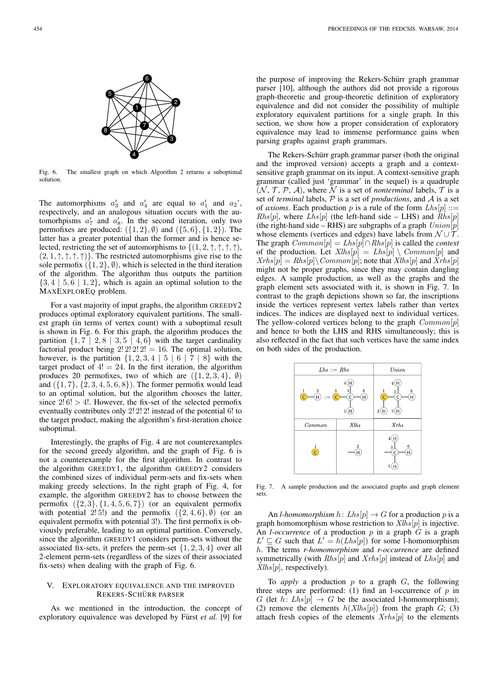

Fig. 6. The smallest graph on which Algorithm 2 returns a suboptimal solution.

The automorphisms  $a'_3$  and  $a'_4$  are equal to  $a'_1$  and  $a_2$ ', respectively, and an analogous situation occurs with the automorhpisms  $a'_7$  and  $a'_8$ . In the second iteration, only two permofixes are produced:  $({1, 2}, \emptyset)$  and  $({5, 6}, {1, 2})$ . The latter has a greater potential than the former and is hence selected, restricting the set of automorphisms to  $\{(1, 2, \uparrow, \uparrow, \uparrow, \uparrow)\}$ ,  $(2, 1, \uparrow, \uparrow, \uparrow, \uparrow)$ . The restricted automorphisms give rise to the sole permofix  $($ {1, 2}, *(i)*), which is selected in the third iteration of the algorithm. The algorithm thus outputs the partition  $\{3, 4 \mid 5, 6 \mid 1, 2\}$ , which is again an optimal solution to the MAXEXPLOREQ problem.

For a vast majority of input graphs, the algorithm GREEDY2 produces optimal exploratory equivalent partitions. The smallest graph (in terms of vertex count) with a suboptimal result is shown in Fig. 6. For this graph, the algorithm produces the partition  $\{1, 7 \mid 2, 8 \mid 3, 5 \mid 4, 6\}$  with the target cardinality factorial product being  $2! \ 2! \ 2! \ 2! = 16$ . The optimal solution, however, is the partition  $\{1, 2, 3, 4 \mid 5 \mid 6 \mid 7 \mid 8\}$  with the target product of  $4! = 24$ . In the first iteration, the algorithm produces 20 permofixes, two of which are  $({1, 2, 3, 4}, \emptyset)$ and  $({1, 7}, {2, 3, 4, 5, 6, 8})$ . The former permofix would lead to an optimal solution, but the algorithm chooses the latter, since  $2!6! > 4!$ . However, the fix-set of the selected permofix eventually contributes only 2! 2! 2! instead of the potential 6! to the target product, making the algorithm's first-iteration choice suboptimal.

Interestingly, the graphs of Fig. 4 are not counterexamples for the second greedy algorithm, and the graph of Fig. 6 is not a counterexample for the first algorithm. In contrast to the algorithm GREEDY1, the algorithm GREEDY2 considers the combined sizes of individual perm-sets and fix-sets when making greedy selections. In the right graph of Fig. 4, for example, the algorithm GREEDY2 has to choose between the permofix  $({2, 3}, {1, 4, 5, 6, 7})$  (or an equivalent permofix with potential  $2!5!$ ) and the permofix  $({2, 4, 6}, \emptyset)$  (or an equivalent permofix with potential 3!). The first permofix is obviously preferable, leading to an optimal partition. Conversely, since the algorithm GREEDY1 considers perm-sets without the associated fix-sets, it prefers the perm-set  $\{1, 2, 3, 4\}$  over all 2-element perm-sets (regardless of the sizes of their associated fix-sets) when dealing with the graph of Fig. 6.

## V. EXPLORATORY EQUIVALENCE AND THE IMPROVED REKERS-SCHÜRR PARSER

As we mentioned in the introduction, the concept of exploratory equivalence was developed by Fürst *et al.* [9] for the purpose of improving the Rekers-Schürr graph grammar parser [10], although the authors did not provide a rigorous graph-theoretic and group-theoretic definition of exploratory equivalence and did not consider the possibility of multiple exploratory equivalent partitions for a single graph. In this section, we show how a proper consideration of exploratory equivalence may lead to immense performance gains when parsing graphs against graph grammars.

The Rekers-Schürr graph grammar parser (both the original and the improved version) accepts a graph and a contextsensitive graph grammar on its input. A context-sensitive graph grammar (called just 'grammar' in the sequel) is a quadruple  $(N, T, P, A)$ , where N is a set of *nonterminal* labels, T is a set of *terminal* labels, P is a set of *productions*, and A is a set of *axioms*. Each production p is a rule of the form  $Lhs[p] ::=$  $Rhs[p]$ , where  $Lhs[p]$  (the left-hand side – LHS) and  $Rhs[p]$ (the right-hand side – RHS) are subgraphs of a graph  $Union[p]$ whose elements (vertices and edges) have labels from  $\mathcal{N} \cup \mathcal{T}$ . The graph Common[p] = Lhs[p]∩Rhs[p] is called the *context* of the production. Let  $Xlhs[p] = Lhs[p] \setminus Common[p]$  and  $Xrhs[p] = Rhs[p] \setminus Common[p]$ ; note that  $Xlhs[p]$  and  $\overline{X}rhs[p]$ might not be proper graphs, since they may contain dangling edges. A sample production, as well as the graphs and the graph element sets associated with it, is shown in Fig. 7. In contrast to the graph depictions shown so far, the inscriptions inside the vertices represent vertex labels rather than vertex indices. The indices are displayed next to individual vertices. The yellow-colored vertices belong to the graph  $Common[p]$ and hence to both the LHS and RHS simultaneously; this is also reflected in the fact that such vertices have the same index on both sides of the production.



Fig. 7. A sample production and the associated graphs and graph element sets.

An *l-homomorphism*  $h: Lhs[p] \to G$  for a production p is a graph homomorphism whose restriction to  $Xlhs[p]$  is injective. An *l*-occurrence of a production  $p$  in a graph  $G$  is a graph  $L' \sqsubseteq G$  such that  $L' = h(Lhs[p])$  for some 1-homomorphism h. The terms *r-homomorphism* and *r-occurrence* are defined symmetrically (with  $Rhs[p]$  and  $Xrhs[p]$  instead of  $Lhs[p]$  and  $Xlhs[p]$ , respectively).

To *apply* a production  $p$  to a graph  $G$ , the following three steps are performed: (1) find an l-occurrence of  $p$  in G (let h: Lhs[p]  $\rightarrow$  G be the associated l-homomorphism); (2) remove the elements  $h(Xlhs[p])$  from the graph  $G$ ; (3) attach fresh copies of the elements  $Xrh s[p]$  to the elements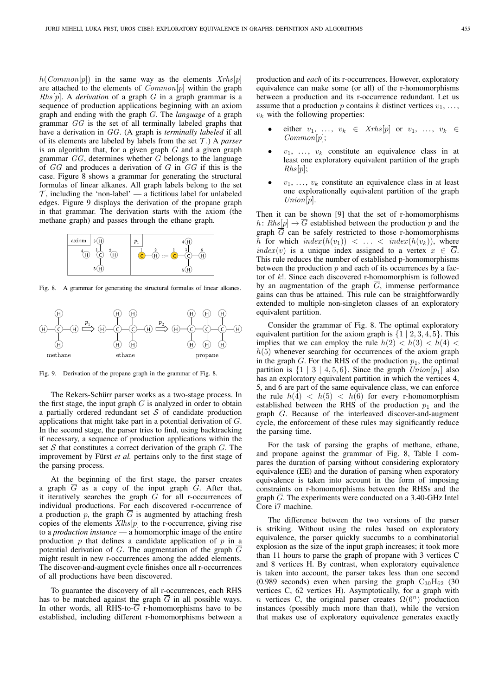$h(Common[p])$  in the same way as the elements  $Xrhs[p]$ are attached to the elements of  $Common[p]$  within the graph  $Rhs[p]$ . A *derivation* of a graph G in a graph grammar is a sequence of production applications beginning with an axiom graph and ending with the graph G. The *language* of a graph grammar GG is the set of all terminally labeled graphs that have a derivation in GG. (A graph is *terminally labeled* if all of its elements are labeled by labels from the set T .) A *parser* is an algorithm that, for a given graph  $G$  and a given graph grammar  $GG$ , determines whether  $G$  belongs to the language of  $GG$  and produces a derivation of  $G$  in  $GG$  if this is the case. Figure 8 shows a grammar for generating the structural formulas of linear alkanes. All graph labels belong to the set  $\mathcal{T}$ , including the 'non-label' — a fictitious label for unlabeled edges. Figure 9 displays the derivation of the propane graph in that grammar. The derivation starts with the axiom (the methane graph) and passes through the ethane graph.



Fig. 8. A grammar for generating the structural formulas of linear alkanes.



Fig. 9. Derivation of the propane graph in the grammar of Fig. 8.

The Rekers-Schürr parser works as a two-stage process. In the first stage, the input graph  $G$  is analyzed in order to obtain a partially ordered redundant set  $S$  of candidate production applications that might take part in a potential derivation of G. In the second stage, the parser tries to find, using backtracking if necessary, a sequence of production applications within the set  $S$  that constitutes a correct derivation of the graph  $G$ . The improvement by Fürst et al. pertains only to the first stage of the parsing process.

At the beginning of the first stage, the parser creates a graph  $\overline{G}$  as a copy of the input graph  $G$ . After that, it iteratively searches the graph  $\overline{G}$  for all r-occurrences of individual productions. For each discovered r-occurrence of a production p, the graph  $\overline{G}$  is augmented by attaching fresh copies of the elements  $Xlhs[p]$  to the r-occurrence, giving rise to a *production instance* — a homomorphic image of the entire production  $p$  that defines a candidate application of  $p$  in a potential derivation of G. The augmentation of the graph  $\overline{G}$ might result in new r-occurrences among the added elements. The discover-and-augment cycle finishes once all r-occurrences of all productions have been discovered.

To guarantee the discovery of all r-occurrences, each RHS has to be matched against the graph  $\overline{G}$  in all possible ways. In other words, all RHS-to- $\overline{G}$  r-homomorphisms have to be established, including different r-homomorphisms between a production and *each* of its r-occurrences. However, exploratory equivalence can make some (or all) of the r-homomorphisms between a production and its r-occurrence redundant. Let us assume that a production p contains k distinct vertices  $v_1, \ldots,$  $v_k$  with the following properties:

- either  $v_1, \ldots, v_k \in Xrhs[p]$  or  $v_1, \ldots, v_k \in$  $Common[p]$ ;
- $v_1, \ldots, v_k$  constitute an equivalence class in at least one exploratory equivalent partition of the graph  $Rhs[p]$ ;
- $v_1, \ldots, v_k$  constitute an equivalence class in at least one explorationally equivalent partition of the graph  $Union[p].$

Then it can be shown [9] that the set of r-homomorphisms h:  $Rhs[p] \to \overline{G}$  established between the production p and the graph  $\overline{G}$  can be safely restricted to those r-homomorphisms h for which  $index(h(v_1)) < ... < index(h(v_k))$ , where  $index(v)$  is a unique index assigned to a vertex  $x \in \overline{G}$ . This rule reduces the number of established p-homomorphisms between the production  $p$  and each of its occurrences by a factor of k!. Since each discovered r-homomorphism is followed by an augmentation of the graph  $\overline{G}$ , immense performance gains can thus be attained. This rule can be straightforwardly extended to multiple non-singleton classes of an exploratory equivalent partition.

Consider the grammar of Fig. 8. The optimal exploratory equivalent partition for the axiom graph is  $\{1 \mid 2, 3, 4, 5\}$ . This implies that we can employ the rule  $h(2) < h(3) < h(4)$  $h(5)$  whenever searching for occurrences of the axiom graph in the graph  $\overline{G}$ . For the RHS of the production  $p_1$ , the optimal partition is  $\{1 \mid 3 \mid 4, 5, 6\}$ . Since the graph  $Union[p_1]$  also has an exploratory equivalent partition in which the vertices 4, 5, and 6 are part of the same equivalence class, we can enforce the rule  $h(4) < h(5) < h(6)$  for every r-homomorphism established between the RHS of the production  $p_1$  and the graph  $\overline{G}$ . Because of the interleaved discover-and-augment cycle, the enforcement of these rules may significantly reduce the parsing time.

For the task of parsing the graphs of methane, ethane, and propane against the grammar of Fig. 8, Table I compares the duration of parsing without considering exploratory equivalence (EE) and the duration of parsing when exporatory equivalence is taken into account in the form of imposing constraints on r-homomorphisms between the RHSs and the graph G. The experiments were conducted on a 3.40-GHz Intel Core i7 machine.

The difference between the two versions of the parser is striking. Without using the rules based on exploratory equivalence, the parser quickly succumbs to a combinatorial explosion as the size of the input graph increases; it took more than 11 hours to parse the graph of propane with 3 vertices C and 8 vertices H. By contrast, when exploratory equivalence is taken into account, the parser takes less than one second (0.989 seconds) even when parsing the graph  $C_{30}H_{62}$  (30 vertices C, 62 vertices H). Asymptotically, for a graph with *n* vertices C, the original parser creates  $\Omega(6^n)$  production instances (possibly much more than that), while the version that makes use of exploratory equivalence generates exactly